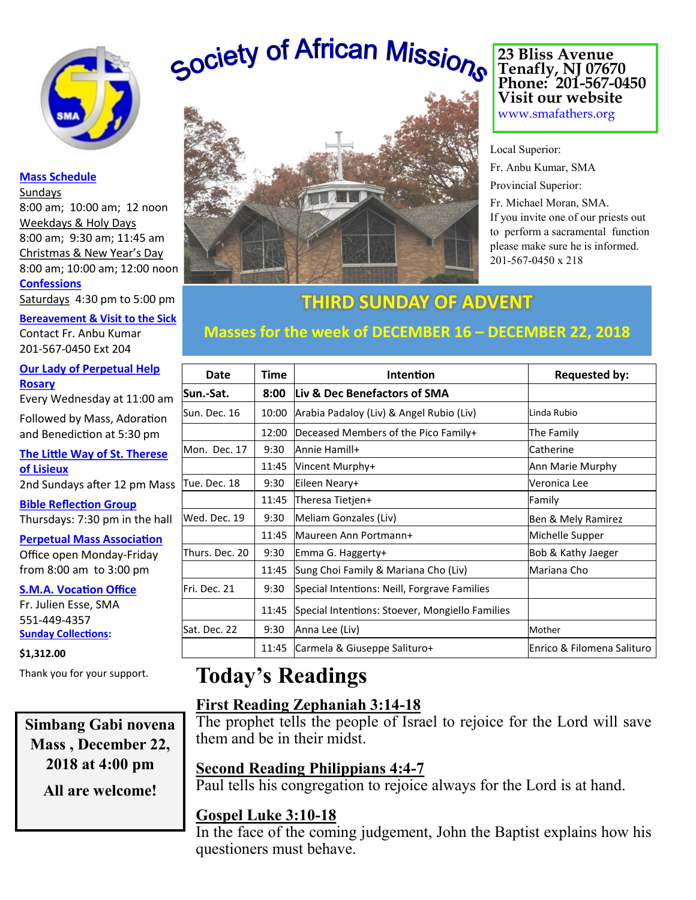

### **Mass Schedule**

Sundays 8:00 am; 10:00 am; 12 noon Weekdays & Holy Days 8:00 am; 9:30 am; 11:45 am Christmas & New Year's Day 8:00 am; 10:00 am; 12:00 noon **Confessions**

Saturdays 4:30 pm to 5:00 pm

**Bereavement & Visit to the Sick** Contact Fr. Anbu Kumar 201-567-0450 Ext 204

**Our Lady of Perpetual Help Rosary**

Every Wednesday at 11:00 am

Followed by Mass, Adoration and Benediction at 5:30 pm

**The Little Way of St. Therese of Lisieux** 2nd Sundays after 12 pm Mass

**Bible Reflection Group** Thursdays: 7:30 pm in the hall

**Perpetual Mass Association** Office open Monday-Friday from 8:00 am to 3:00 pm

### **S.M.A. Vocation Office**

Fr. Julien Esse, SMA 551-449-4357 **Sunday Collections:** 

### **\$1,312.00**

Thank you for your support.

**Simbang Gabi novena Mass , December 22, 2018 at 4:00 pm**

**All are welcome!**

# Society of African Missions



**23 Bliss Avenue Tenafly, NJ 07670 Phone: 201-567-0450 Visit our website**

www.smafathers.org

Local Superior: Fr. Anbu Kumar, SMA Provincial Superior:

Fr. Michael Moran, SMA. If you invite one of our priests out to perform a sacramental function please make sure he is informed. 201-567-0450 x 218

**THIRD SUNDAY OF ADVENT**

# **Masses for the week of DECEMBER 16 – DECEMBER 22, 2018**

| Date           | Time  | <b>Intention</b>                                | <b>Requested by:</b>       |
|----------------|-------|-------------------------------------------------|----------------------------|
| Sun.-Sat.      | 8:00  | Liv & Dec Benefactors of SMA                    |                            |
| Sun. Dec. 16   | 10:00 | Arabia Padaloy (Liv) & Angel Rubio (Liv)        | Linda Rubio                |
|                | 12:00 | Deceased Members of the Pico Family+            | The Family                 |
| Mon. Dec. 17   | 9:30  | Annie Hamill+                                   | Catherine                  |
|                | 11:45 | Vincent Murphy+                                 | Ann Marie Murphy           |
| Tue. Dec. 18   | 9:30  | Eileen Neary+                                   | Veronica Lee               |
|                | 11:45 | Theresa Tietjen+                                | Family                     |
| Wed. Dec. 19   | 9:30  | Meliam Gonzales (Liv)                           | Ben & Mely Ramirez         |
|                | 11:45 | Maureen Ann Portmann+                           | Michelle Supper            |
| Thurs. Dec. 20 | 9:30  | Emma G. Haggerty+                               | Bob & Kathy Jaeger         |
|                | 11:45 | Sung Choi Family & Mariana Cho (Liv)            | Mariana Cho                |
| Fri. Dec. 21   | 9:30  | Special Intentions: Neill, Forgrave Families    |                            |
|                | 11:45 | Special Intentions: Stoever, Mongiello Families |                            |
| Sat. Dec. 22   | 9:30  | Anna Lee (Liv)                                  | Mother                     |
|                | 11:45 | Carmela & Giuseppe Salituro+                    | Enrico & Filomena Salituro |

# **Today's Readings**

## **First Reading Zephaniah 3:14-18**

The prophet tells the people of Israel to rejoice for the Lord will save them and be in their midst.

## **Second Reading Philippians 4:4-7**

Paul tells his congregation to rejoice always for the Lord is at hand.

## **Gospel Luke 3:10-18**

In the face of the coming judgement, John the Baptist explains how his questioners must behave.